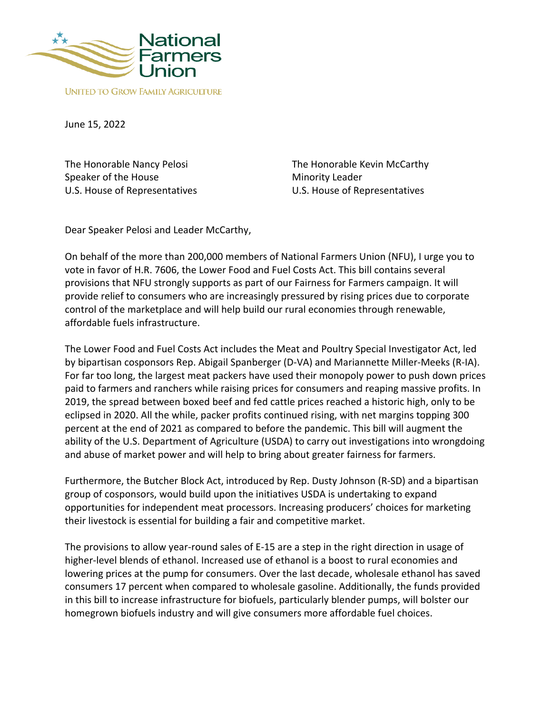

June 15, 2022

The Honorable Nancy Pelosi Speaker of the House U.S. House of Representatives

The Honorable Kevin McCarthy Minority Leader U.S. House of Representatives

Dear Speaker Pelosi and Leader McCarthy,

On behalf of the more than 200,000 members of National Farmers Union (NFU), I urge you to vote in favor of H.R. 7606, the Lower Food and Fuel Costs Act. This bill contains several provisions that NFU strongly supports as part of our Fairness for Farmers campaign. It will provide relief to consumers who are increasingly pressured by rising prices due to corporate control of the marketplace and will help build our rural economies through renewable, affordable fuels infrastructure.

The Lower Food and Fuel Costs Act includes the Meat and Poultry Special Investigator Act, led by bipartisan cosponsors Rep. Abigail Spanberger (D-VA) and Mariannette Miller-Meeks (R-IA). For far too long, the largest meat packers have used their monopoly power to push down prices paid to farmers and ranchers while raising prices for consumers and reaping massive profits. In 2019, the spread between boxed beef and fed cattle prices reached a historic high, only to be eclipsed in 2020. All the while, packer profits continued rising, with net margins topping 300 percent at the end of 2021 as compared to before the pandemic. This bill will augment the ability of the U.S. Department of Agriculture (USDA) to carry out investigations into wrongdoing and abuse of market power and will help to bring about greater fairness for farmers.

Furthermore, the Butcher Block Act, introduced by Rep. Dusty Johnson (R-SD) and a bipartisan group of cosponsors, would build upon the initiatives USDA is undertaking to expand opportunities for independent meat processors. Increasing producers' choices for marketing their livestock is essential for building a fair and competitive market.

The provisions to allow year-round sales of E-15 are a step in the right direction in usage of higher-level blends of ethanol. Increased use of ethanol is a boost to rural economies and lowering prices at the pump for consumers. Over the last decade, wholesale ethanol has saved consumers 17 percent when compared to wholesale gasoline. Additionally, the funds provided in this bill to increase infrastructure for biofuels, particularly blender pumps, will bolster our homegrown biofuels industry and will give consumers more affordable fuel choices.